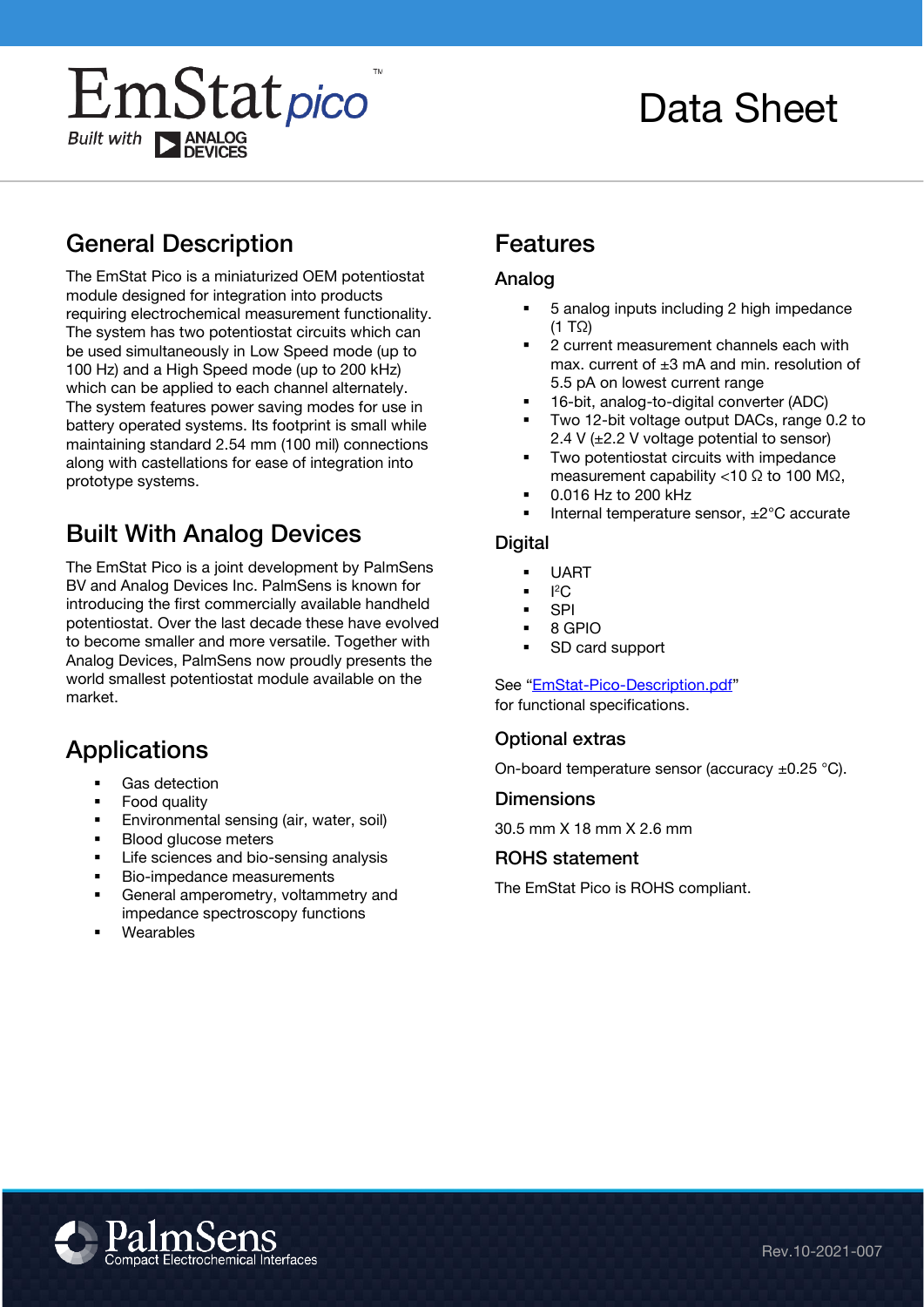# Data Sheet

# General Description

The EmStat Pico is a miniaturized OEM potentiostat module designed for integration into products requiring electrochemical measurement functionality. The system has two potentiostat circuits which can be used simultaneously in Low Speed mode (up to 100 Hz) and a High Speed mode (up to 200 kHz) which can be applied to each channel alternately. The system features power saving modes for use in battery operated systems. Its footprint is small while maintaining standard 2.54 mm (100 mil) connections along with castellations for ease of integration into prototype systems.

# Built With Analog Devices

The EmStat Pico is a joint development by PalmSens BV and Analog Devices Inc. PalmSens is known for introducing the first commercially available handheld potentiostat. Over the last decade these have evolved to become smaller and more versatile. Together with Analog Devices, PalmSens now proudly presents the world smallest potentiostat module available on the market.

# Applications

- Gas detection
- **Food quality**
- **Environmental sensing (air, water, soil)**
- Blood glucose meters
- Life sciences and bio-sensing analysis
- Bio-impedance measurements
- General amperometry, voltammetry and impedance spectroscopy functions
- **Wearables**

# Features

### Analog

- 5 analog inputs including 2 high impedance (1 TΩ)
- 2 current measurement channels each with max. current of ±3 mA and min. resolution of 5.5 pA on lowest current range
- 16-bit, analog-to-digital converter (ADC)<br>■ Two 12-bit voltage output DACs, range 0
- Two 12-bit voltage output DACs, range 0.2 to 2.4 V  $(\pm 2.2$  V voltage potential to sensor)
- Two potentiostat circuits with impedance measurement capability <10 Ω to 100 MΩ,
- 0.016 Hz to 200 kHz
- Internal temperature sensor,  $\pm 2^{\circ}$ C accurate

#### **Digital**

- UART
- $\blacksquare$   $\blacksquare$   $\blacksquare$
- **SPI**
- 8 GPIO
- SD card support

See "[EmStat-Pico-Description.pdf](http://www.palmsens.com/picodescription)" for functional specifications.

### Optional extras

On-board temperature sensor (accuracy  $\pm$ 0.25 °C).

### **Dimensions**

30.5 mm X 18 mm X 2.6 mm

### ROHS statement

The EmStat Pico is ROHS compliant.

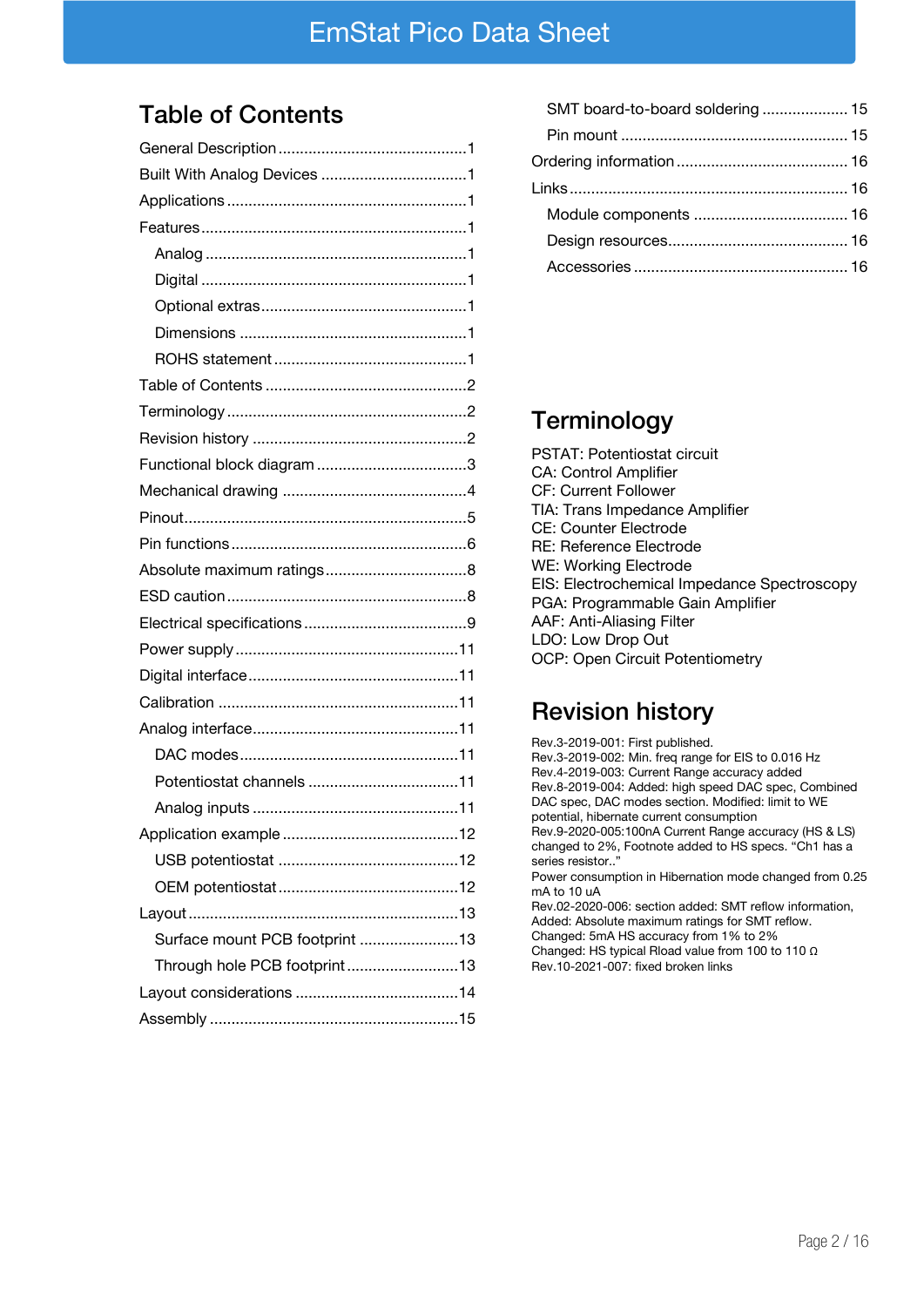# Table of Contents

| Surface mount PCB footprint 13 |  |
|--------------------------------|--|
| Through hole PCB footprint13   |  |
|                                |  |
|                                |  |

| SMT board-to-board soldering  15 |  |
|----------------------------------|--|
|                                  |  |
|                                  |  |
|                                  |  |
|                                  |  |
|                                  |  |
|                                  |  |
|                                  |  |

### **Terminology**

PSTAT: Potentiostat circuit CA: Control Amplifier CF: Current Follower TIA: Trans Impedance Amplifier CE: Counter Electrode RE: Reference Electrode WE: Working Electrode EIS: Electrochemical Impedance Spectroscopy PGA: Programmable Gain Amplifier AAF: Anti-Aliasing Filter LDO: Low Drop Out OCP: Open Circuit Potentiometry

# Revision history

Rev.3-2019-001: First published. Rev.3-2019-002: Min. freq range for EIS to 0.016 Hz Rev.4-2019-003: Current Range accuracy added Rev.8-2019-004: Added: high speed DAC spec, Combined DAC spec, DAC modes section. Modified: limit to WE potential, hibernate current consumption Rev.9-2020-005:100nA Current Range accuracy (HS & LS) changed to 2%, Footnote added to HS specs. "Ch1 has a series resistor.." Power consumption in Hibernation mode changed from 0.25 mA to 10 uA Rev.02-2020-006: section added: SMT reflow information, Added: Absolute maximum ratings for SMT reflow. Changed: 5mA HS accuracy from 1% to 2% Changed: HS typical Rload value from 100 to 110 Ω Rev.10-2021-007: fixed broken links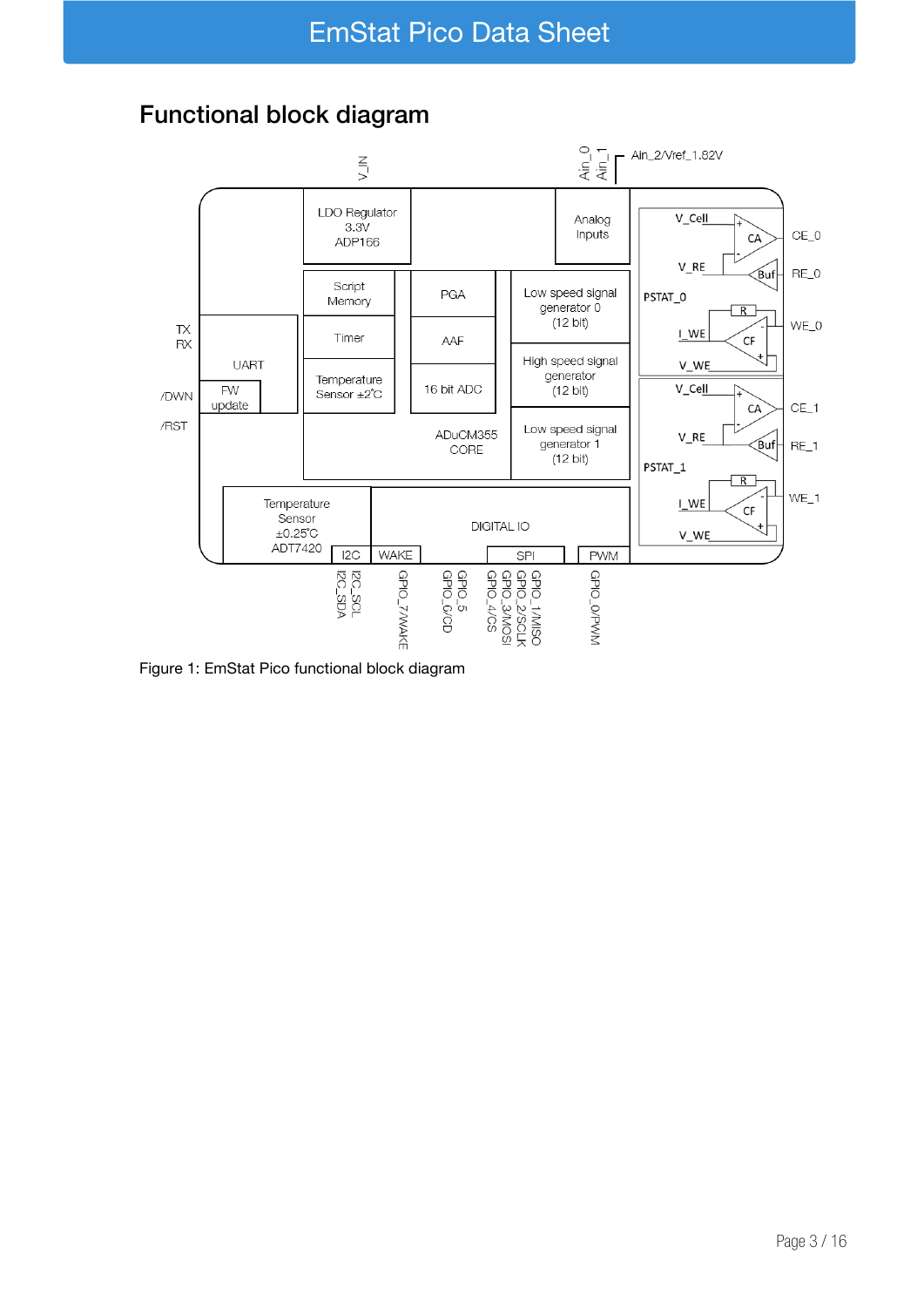# Functional block diagram



Figure 1: EmStat Pico functional block diagram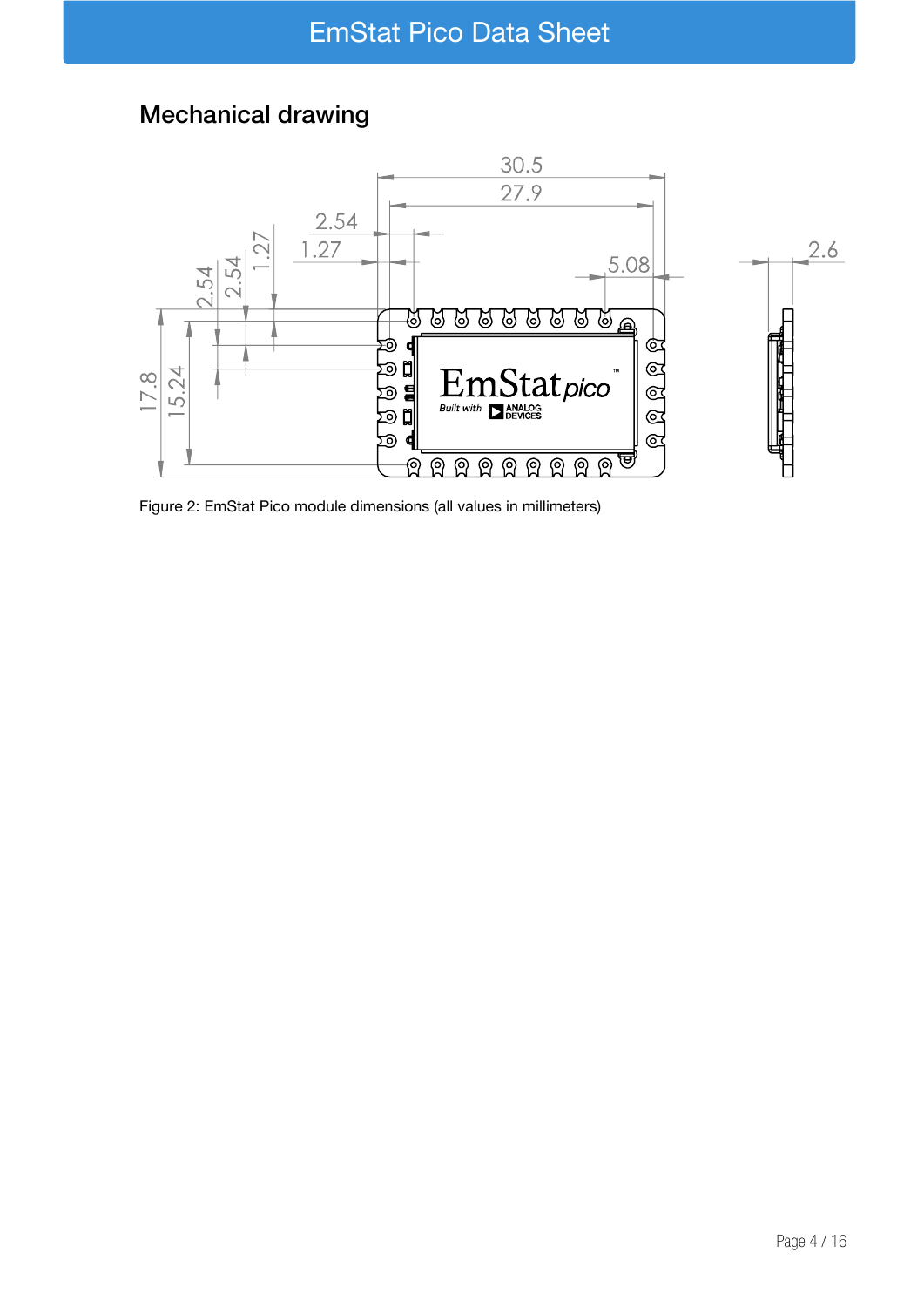# Mechanical drawing



Figure 2: EmStat Pico module dimensions (all values in millimeters)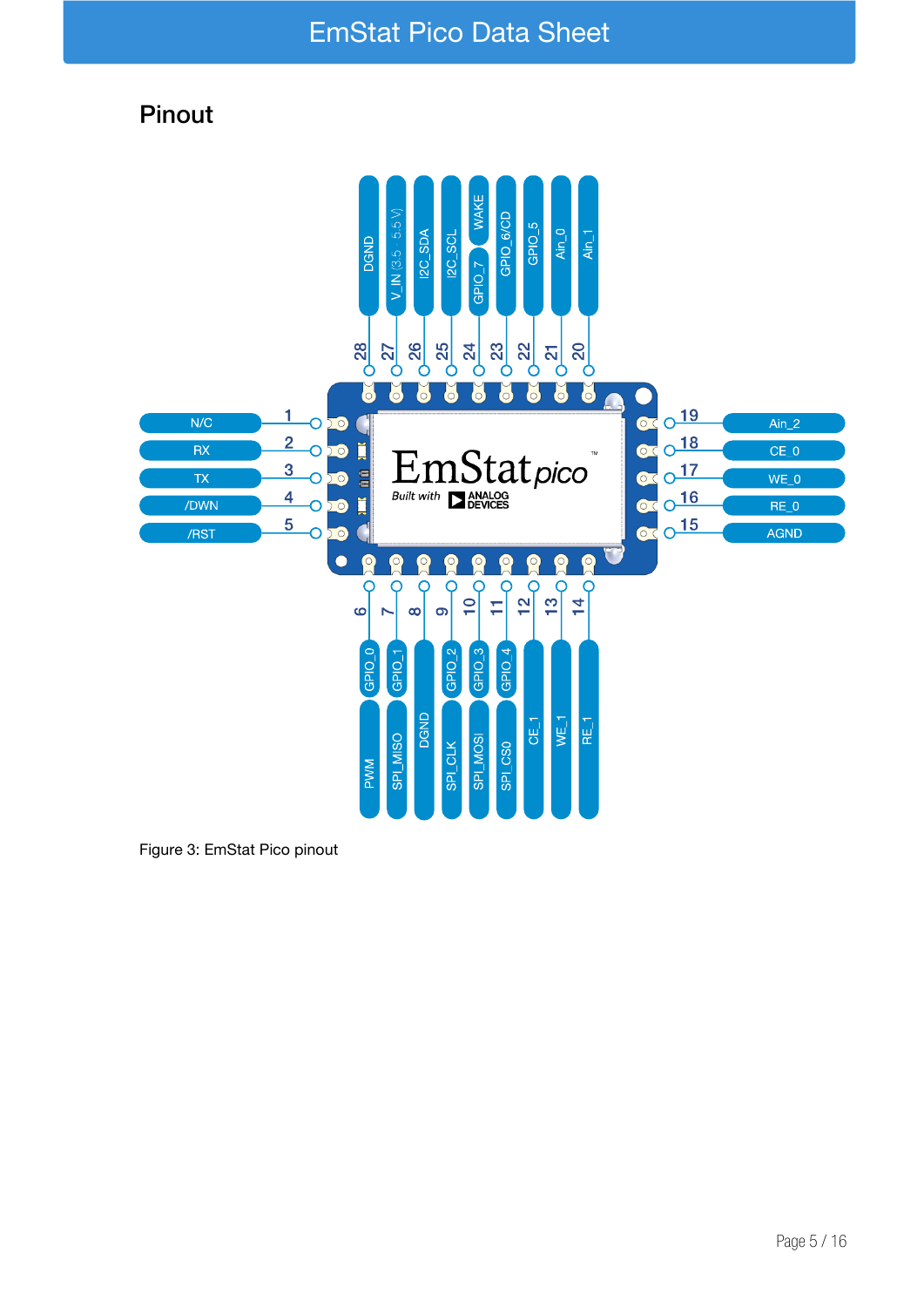### Pinout



Figure 3: EmStat Pico pinout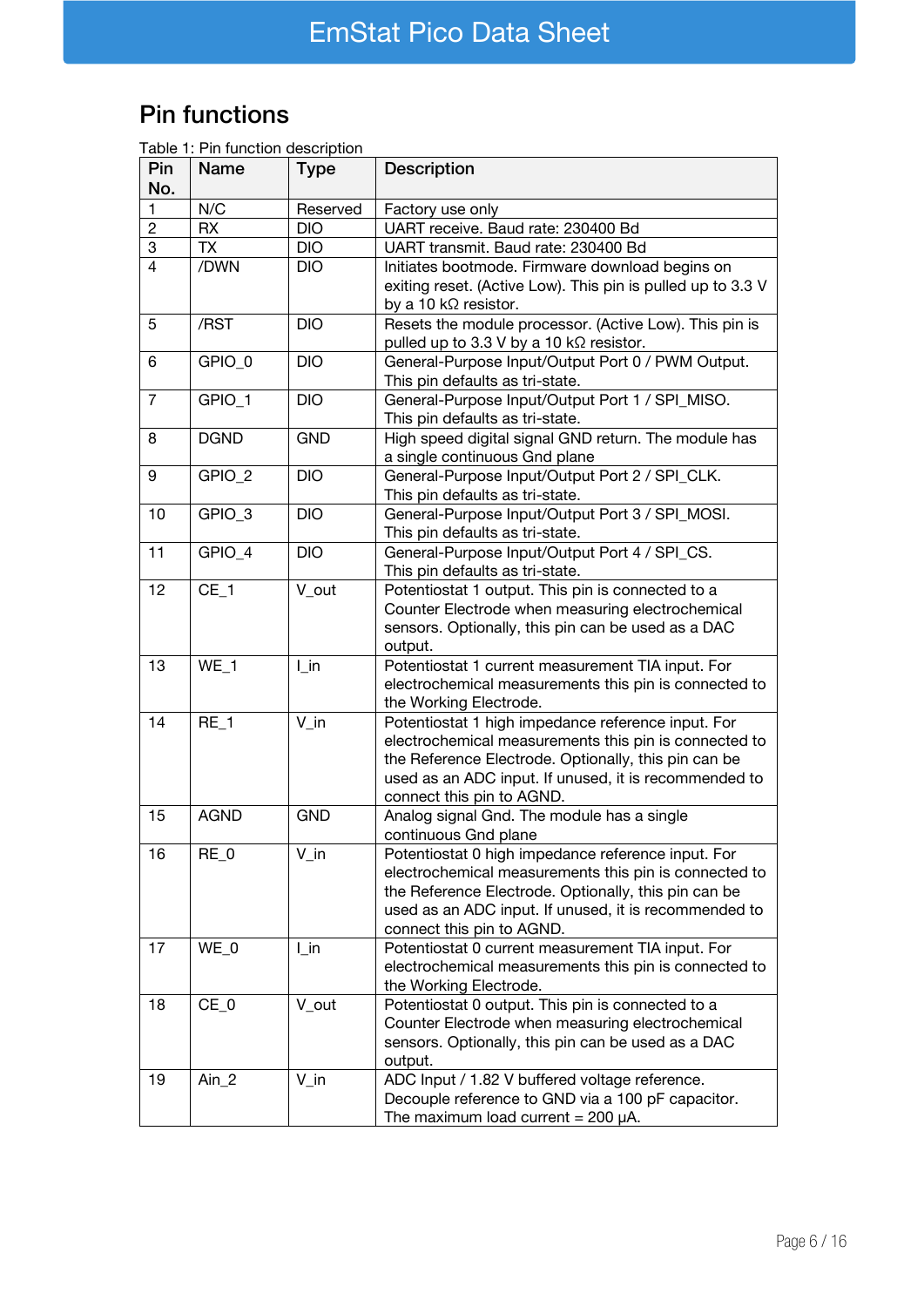# Pin functions

Table 1: Pin function description

| Pin<br>No.     | Name              | <b>Type</b>    | <b>Description</b>                                                                                                                                                                                                                                        |
|----------------|-------------------|----------------|-----------------------------------------------------------------------------------------------------------------------------------------------------------------------------------------------------------------------------------------------------------|
| 1              | N/C               | Reserved       | Factory use only                                                                                                                                                                                                                                          |
| $\overline{2}$ | <b>RX</b>         | <b>DIO</b>     | UART receive. Baud rate: 230400 Bd                                                                                                                                                                                                                        |
| 3              | <b>TX</b>         | <b>DIO</b>     | UART transmit. Baud rate: 230400 Bd                                                                                                                                                                                                                       |
| $\overline{4}$ | /DWN              | <b>DIO</b>     | Initiates bootmode. Firmware download begins on<br>exiting reset. (Active Low). This pin is pulled up to 3.3 V<br>by a 10 kΩ resistor.                                                                                                                    |
| 5              | /RST              | <b>DIO</b>     | Resets the module processor. (Active Low). This pin is<br>pulled up to 3.3 V by a 10 kΩ resistor.                                                                                                                                                         |
| 6              | GPIO 0            | <b>DIO</b>     | General-Purpose Input/Output Port 0 / PWM Output.<br>This pin defaults as tri-state.                                                                                                                                                                      |
| $\overline{7}$ | GPIO_1            | <b>DIO</b>     | General-Purpose Input/Output Port 1 / SPI_MISO.<br>This pin defaults as tri-state.                                                                                                                                                                        |
| 8              | <b>DGND</b>       | <b>GND</b>     | High speed digital signal GND return. The module has<br>a single continuous Gnd plane                                                                                                                                                                     |
| 9              | GPIO_2            | <b>DIO</b>     | General-Purpose Input/Output Port 2 / SPI_CLK.<br>This pin defaults as tri-state.                                                                                                                                                                         |
| 10             | GPIO <sub>3</sub> | <b>DIO</b>     | General-Purpose Input/Output Port 3 / SPI_MOSI.<br>This pin defaults as tri-state.                                                                                                                                                                        |
| 11             | GPIO_4            | <b>DIO</b>     | General-Purpose Input/Output Port 4 / SPI_CS.<br>This pin defaults as tri-state.                                                                                                                                                                          |
| 12             | $CE_1$            | V_out          | Potentiostat 1 output. This pin is connected to a<br>Counter Electrode when measuring electrochemical<br>sensors. Optionally, this pin can be used as a DAC<br>output.                                                                                    |
| 13             | $WE_1$            | $l$ in         | Potentiostat 1 current measurement TIA input. For<br>electrochemical measurements this pin is connected to<br>the Working Electrode.                                                                                                                      |
| 14             | $RE_1$            | $V_{\perp}$ in | Potentiostat 1 high impedance reference input. For<br>electrochemical measurements this pin is connected to<br>the Reference Electrode. Optionally, this pin can be<br>used as an ADC input. If unused, it is recommended to<br>connect this pin to AGND. |
| 15             | <b>AGND</b>       | <b>GND</b>     | Analog signal Gnd. The module has a single<br>continuous Gnd plane                                                                                                                                                                                        |
| 16             | $RE_0$            | $V_{\perp}$ in | Potentiostat 0 high impedance reference input. For<br>electrochemical measurements this pin is connected to<br>the Reference Electrode. Optionally, this pin can be<br>used as an ADC input. If unused, it is recommended to<br>connect this pin to AGND. |
| 17             | $WE_0$            | $\mathsf{Lin}$ | Potentiostat 0 current measurement TIA input. For<br>electrochemical measurements this pin is connected to<br>the Working Electrode.                                                                                                                      |
| 18             | $CE_0$            | V_out          | Potentiostat 0 output. This pin is connected to a<br>Counter Electrode when measuring electrochemical<br>sensors. Optionally, this pin can be used as a DAC<br>output.                                                                                    |
| 19             | $Ain_2$           | $V_in$         | ADC Input / 1.82 V buffered voltage reference.<br>Decouple reference to GND via a 100 pF capacitor.<br>The maximum load current = $200 \mu A$ .                                                                                                           |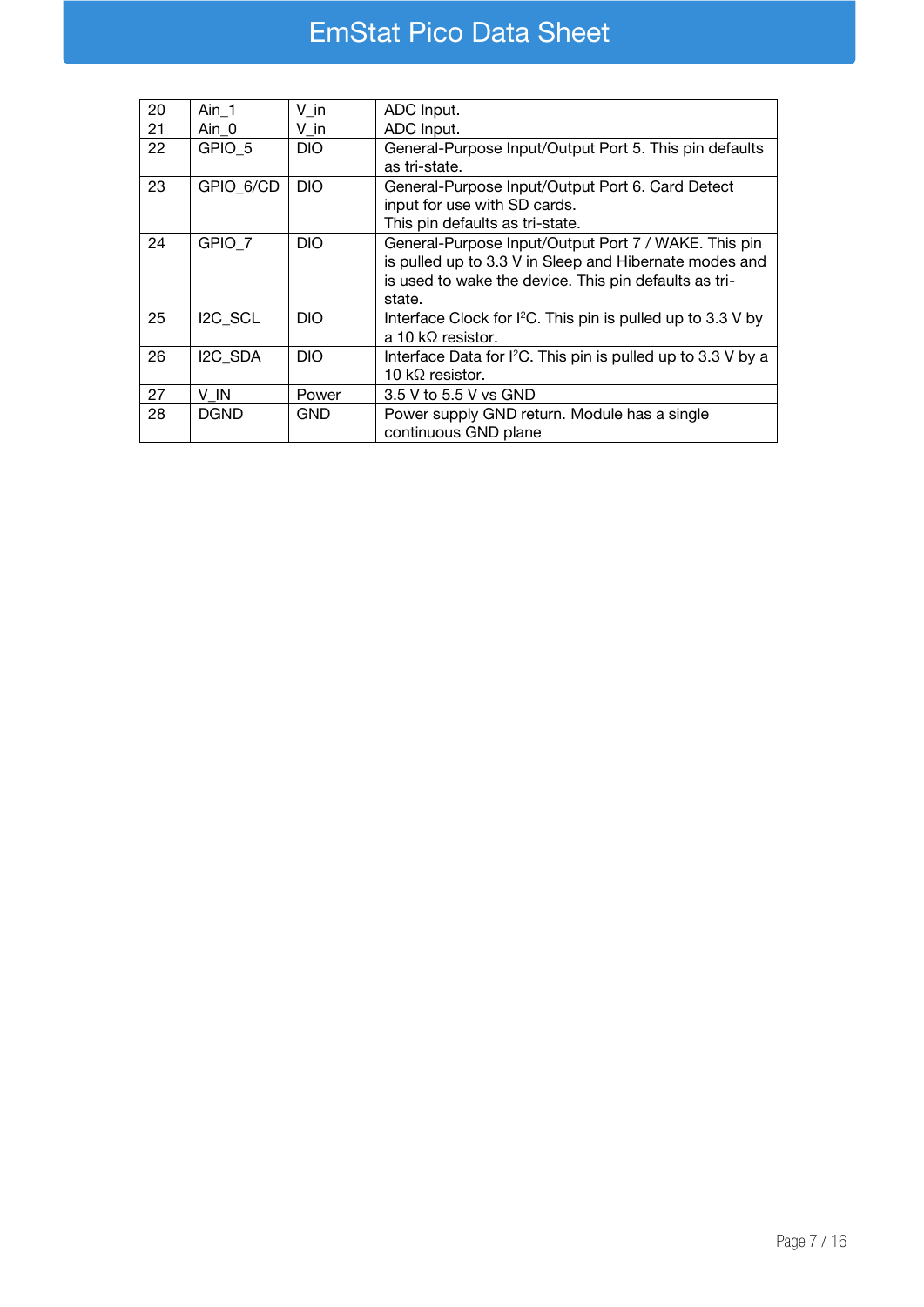# EmStat Pico Data Sheet

| 20 | Ain 1       | V in       | ADC Input.                                                               |
|----|-------------|------------|--------------------------------------------------------------------------|
| 21 | Ain 0       | V in       | ADC Input.                                                               |
| 22 | GPIO 5      | <b>DIO</b> | General-Purpose Input/Output Port 5. This pin defaults                   |
|    |             |            | as tri-state.                                                            |
| 23 | GPIO 6/CD   | <b>DIO</b> | General-Purpose Input/Output Port 6. Card Detect                         |
|    |             |            | input for use with SD cards.                                             |
|    |             |            | This pin defaults as tri-state.                                          |
| 24 | GPIO_7      | <b>DIO</b> | General-Purpose Input/Output Port 7 / WAKE. This pin                     |
|    |             |            | is pulled up to 3.3 V in Sleep and Hibernate modes and                   |
|    |             |            | is used to wake the device. This pin defaults as tri-                    |
|    |             |            | state.                                                                   |
| 25 | I2C SCL     | <b>DIO</b> | Interface Clock for $l^2C$ . This pin is pulled up to 3.3 V by           |
|    |             |            | a 10 k $\Omega$ resistor.                                                |
| 26 | I2C SDA     | <b>DIO</b> | Interface Data for I <sup>2</sup> C. This pin is pulled up to 3.3 V by a |
|    |             |            | 10 k $\Omega$ resistor.                                                  |
| 27 | V IN        | Power      | 3.5 V to 5.5 V vs GND                                                    |
| 28 | <b>DGND</b> | GND        | Power supply GND return. Module has a single                             |
|    |             |            | continuous GND plane                                                     |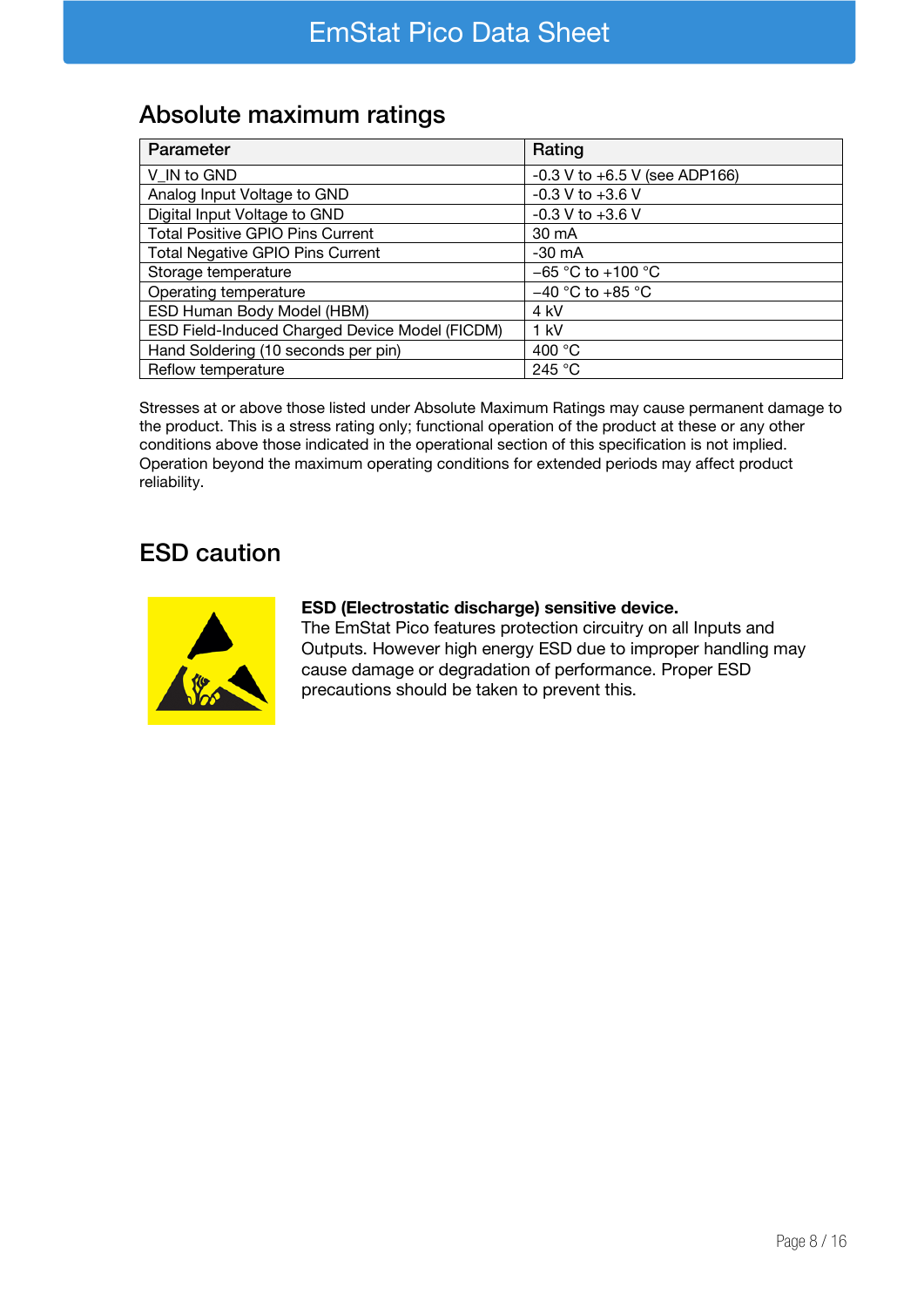### Absolute maximum ratings

| Parameter                                      | Rating                            |
|------------------------------------------------|-----------------------------------|
| V IN to GND                                    | $-0.3$ V to $+6.5$ V (see ADP166) |
| Analog Input Voltage to GND                    | $-0.3$ V to $+3.6$ V              |
| Digital Input Voltage to GND                   | $-0.3$ V to $+3.6$ V              |
| <b>Total Positive GPIO Pins Current</b>        | 30 mA                             |
| <b>Total Negative GPIO Pins Current</b>        | $-30$ mA                          |
| Storage temperature                            | $-65$ °C to +100 °C               |
| Operating temperature                          | $-40$ °C to +85 °C                |
| ESD Human Body Model (HBM)                     | 4 kV                              |
| ESD Field-Induced Charged Device Model (FICDM) | $1$ kV                            |
| Hand Soldering (10 seconds per pin)            | 400 $\degree$ C                   |
| Reflow temperature                             | 245 °C                            |

Stresses at or above those listed under Absolute Maximum Ratings may cause permanent damage to the product. This is a stress rating only; functional operation of the product at these or any other conditions above those indicated in the operational section of this specification is not implied. Operation beyond the maximum operating conditions for extended periods may affect product reliability.

### ESD caution



#### ESD (Electrostatic discharge) sensitive device.

The EmStat Pico features protection circuitry on all Inputs and Outputs. However high energy ESD due to improper handling may cause damage or degradation of performance. Proper ESD precautions should be taken to prevent this.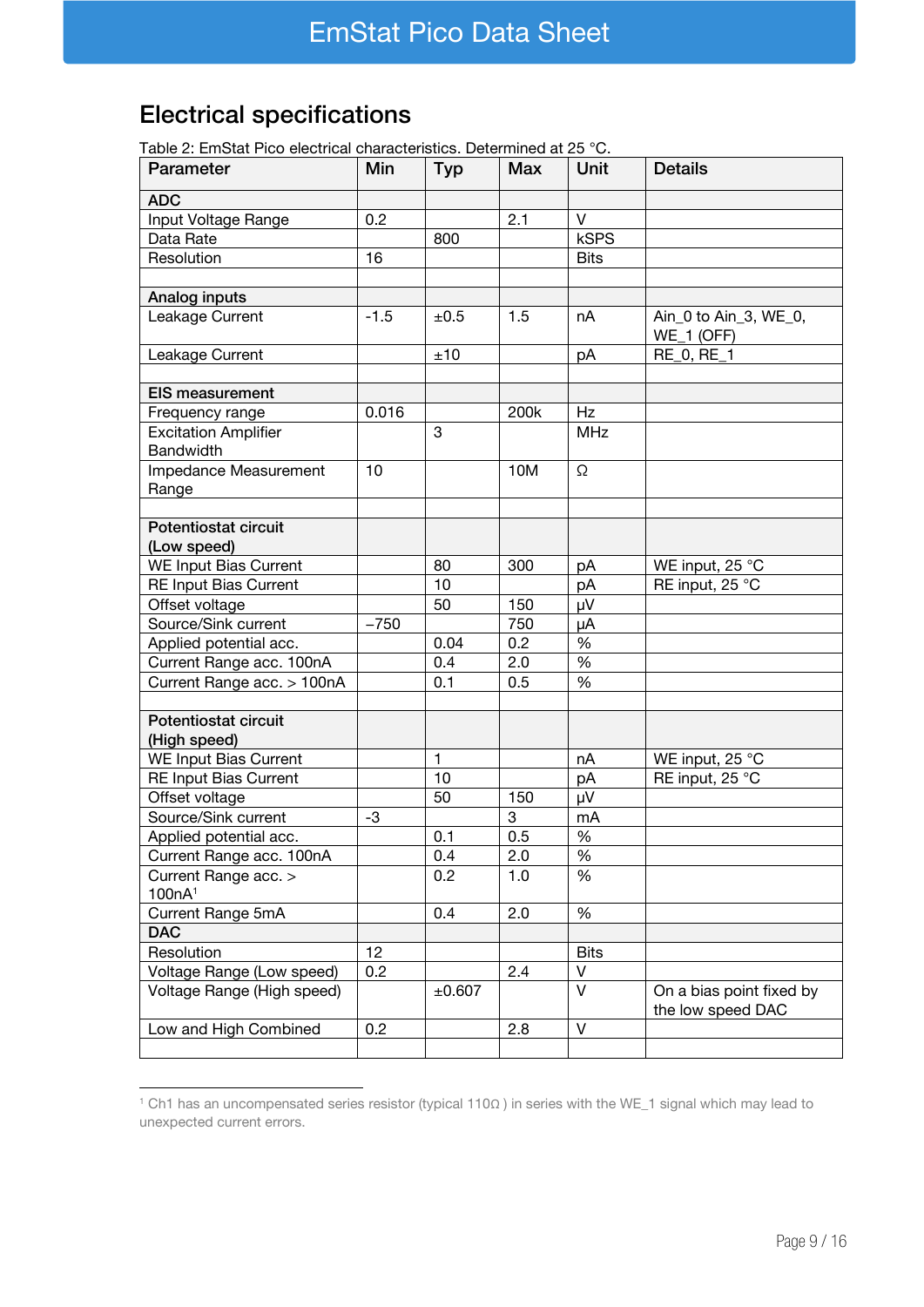# Electrical specifications

| Table 2: EmStat Pico electrical characteristics. Determined at 25 °C. |  |  |
|-----------------------------------------------------------------------|--|--|
|                                                                       |  |  |

| Parameter                                       | Min    | <b>Typ</b> | <b>Max</b> | Unit                    | <b>Details</b>                                |
|-------------------------------------------------|--------|------------|------------|-------------------------|-----------------------------------------------|
| <b>ADC</b>                                      |        |            |            |                         |                                               |
| Input Voltage Range                             | 0.2    |            | 2.1        | $\vee$                  |                                               |
| Data Rate                                       |        | 800        |            | <b>kSPS</b>             |                                               |
| Resolution                                      | 16     |            |            | <b>Bits</b>             |                                               |
|                                                 |        |            |            |                         |                                               |
| Analog inputs                                   |        |            |            |                         |                                               |
| Leakage Current                                 | $-1.5$ | ±0.5       | 1.5        | nA                      | Ain 0 to Ain 3, WE 0,<br>WE_1 (OFF)           |
| Leakage Current                                 |        | ±10        |            | pA                      | RE_0, RE_1                                    |
| <b>EIS measurement</b>                          |        |            |            |                         |                                               |
| Frequency range                                 | 0.016  |            | 200k       | Hz                      |                                               |
| <b>Excitation Amplifier</b><br><b>Bandwidth</b> |        | 3          |            | <b>MHz</b>              |                                               |
| Impedance Measurement<br>Range                  | 10     |            | 10M        | Ω                       |                                               |
|                                                 |        |            |            |                         |                                               |
| Potentiostat circuit<br>(Low speed)             |        |            |            |                         |                                               |
| <b>WE Input Bias Current</b>                    |        | 80         | 300        | pA                      | WE input, 25 °C                               |
| <b>RE Input Bias Current</b>                    |        | 10         |            | pA                      | RE input, 25 °C                               |
| Offset voltage                                  |        | 50         | 150        | μV                      |                                               |
| Source/Sink current                             | $-750$ |            | 750        | μA                      |                                               |
| Applied potential acc.                          |        | 0.04       | 0.2        | %                       |                                               |
| Current Range acc. 100nA                        |        | 0.4        | 2.0        | %                       |                                               |
| Current Range acc. > 100nA                      |        | 0.1        | 0.5        | %                       |                                               |
|                                                 |        |            |            |                         |                                               |
| Potentiostat circuit<br>(High speed)            |        |            |            |                         |                                               |
| <b>WE Input Bias Current</b>                    |        | 1          |            | nA                      | WE input, 25 °C                               |
| <b>RE Input Bias Current</b>                    |        | 10         |            | рA                      | RE input, 25 °C                               |
| Offset voltage                                  |        | 50         | 150        | μV                      |                                               |
| Source/Sink current                             | -3     |            | 3          | mA                      |                                               |
| Applied potential acc.                          |        | 0.1        | 0.5        | %                       |                                               |
| Current Range acc. 100nA                        |        | 0.4        | 2.0        | %                       |                                               |
| Current Range acc. ><br>100nA <sup>1</sup>      |        | 0.2        | 1.0        | %                       |                                               |
| Current Range 5mA                               |        | 0.4        | 2.0        | %                       |                                               |
| <b>DAC</b>                                      |        |            |            |                         |                                               |
| Resolution                                      | 12     |            |            | <b>Bits</b>             |                                               |
| Voltage Range (Low speed)                       | 0.2    |            | 2.4        | V                       |                                               |
| Voltage Range (High speed)                      |        | ±0.607     |            | $\overline{\mathsf{V}}$ | On a bias point fixed by<br>the low speed DAC |
| Low and High Combined                           | 0.2    |            | 2.8        | $\vee$                  |                                               |
|                                                 |        |            |            |                         |                                               |

<sup>&</sup>lt;sup>1</sup> Ch1 has an uncompensated series resistor (typical 110Ω) in series with the WE\_1 signal which may lead to unexpected current errors.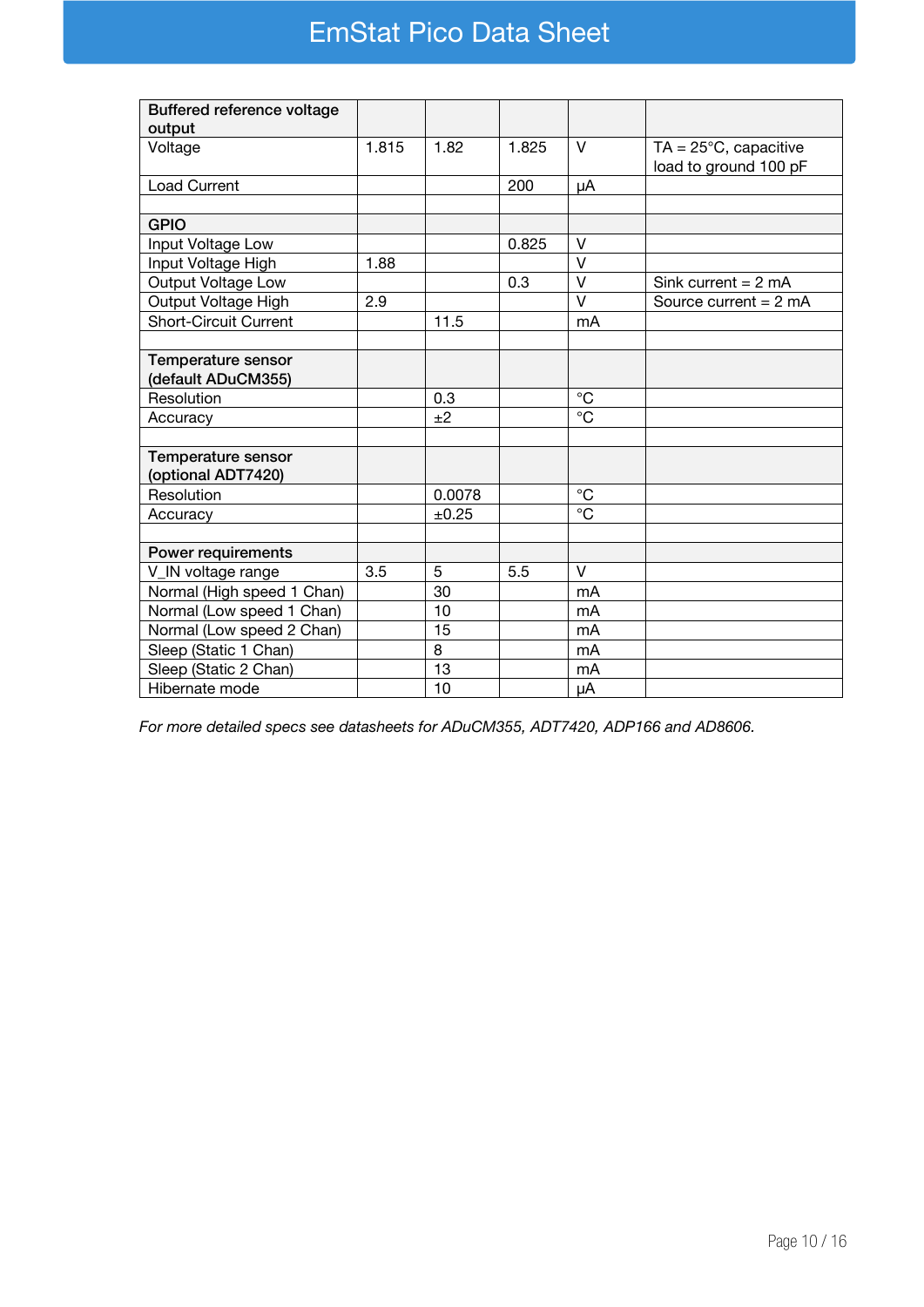# EmStat Pico Data Sheet

| <b>Buffered reference voltage</b>        |       |        |       |              |                                                          |
|------------------------------------------|-------|--------|-------|--------------|----------------------------------------------------------|
| output                                   |       |        |       |              |                                                          |
| Voltage                                  | 1.815 | 1.82   | 1.825 | $\vee$       | $TA = 25^{\circ}C$ , capacitive<br>load to ground 100 pF |
| <b>Load Current</b>                      |       |        | 200   | μA           |                                                          |
|                                          |       |        |       |              |                                                          |
| <b>GPIO</b>                              |       |        |       |              |                                                          |
| Input Voltage Low                        |       |        | 0.825 | $\vee$       |                                                          |
| Input Voltage High                       | 1.88  |        |       | $\vee$       |                                                          |
| Output Voltage Low                       |       |        | 0.3   | $\vee$       | Sink current $= 2$ mA                                    |
| Output Voltage High                      | 2.9   |        |       | $\vee$       | Source current $= 2$ mA                                  |
| <b>Short-Circuit Current</b>             |       | 11.5   |       | mA           |                                                          |
|                                          |       |        |       |              |                                                          |
| Temperature sensor                       |       |        |       |              |                                                          |
| (default ADuCM355)                       |       |        |       |              |                                                          |
| Resolution                               |       | 0.3    |       | $^{\circ}$ C |                                                          |
| Accuracy                                 |       | ±2     |       | $^{\circ}C$  |                                                          |
|                                          |       |        |       |              |                                                          |
| Temperature sensor<br>(optional ADT7420) |       |        |       |              |                                                          |
| Resolution                               |       | 0.0078 |       | $^{\circ}C$  |                                                          |
|                                          |       | ±0.25  |       | $^{\circ}C$  |                                                          |
| Accuracy                                 |       |        |       |              |                                                          |
| Power requirements                       |       |        |       |              |                                                          |
| V_IN voltage range                       | 3.5   | 5      | 5.5   | $\vee$       |                                                          |
| Normal (High speed 1 Chan)               |       | 30     |       | mA           |                                                          |
| Normal (Low speed 1 Chan)                |       | 10     |       | mA           |                                                          |
| Normal (Low speed 2 Chan)                |       | 15     |       | mA           |                                                          |
| Sleep (Static 1 Chan)                    |       | 8      |       | mA           |                                                          |
| Sleep (Static 2 Chan)                    |       | 13     |       | mA           |                                                          |
| Hibernate mode                           |       | 10     |       | μA           |                                                          |

For more detailed specs see datasheets for ADuCM355, ADT7420, ADP166 and AD8606.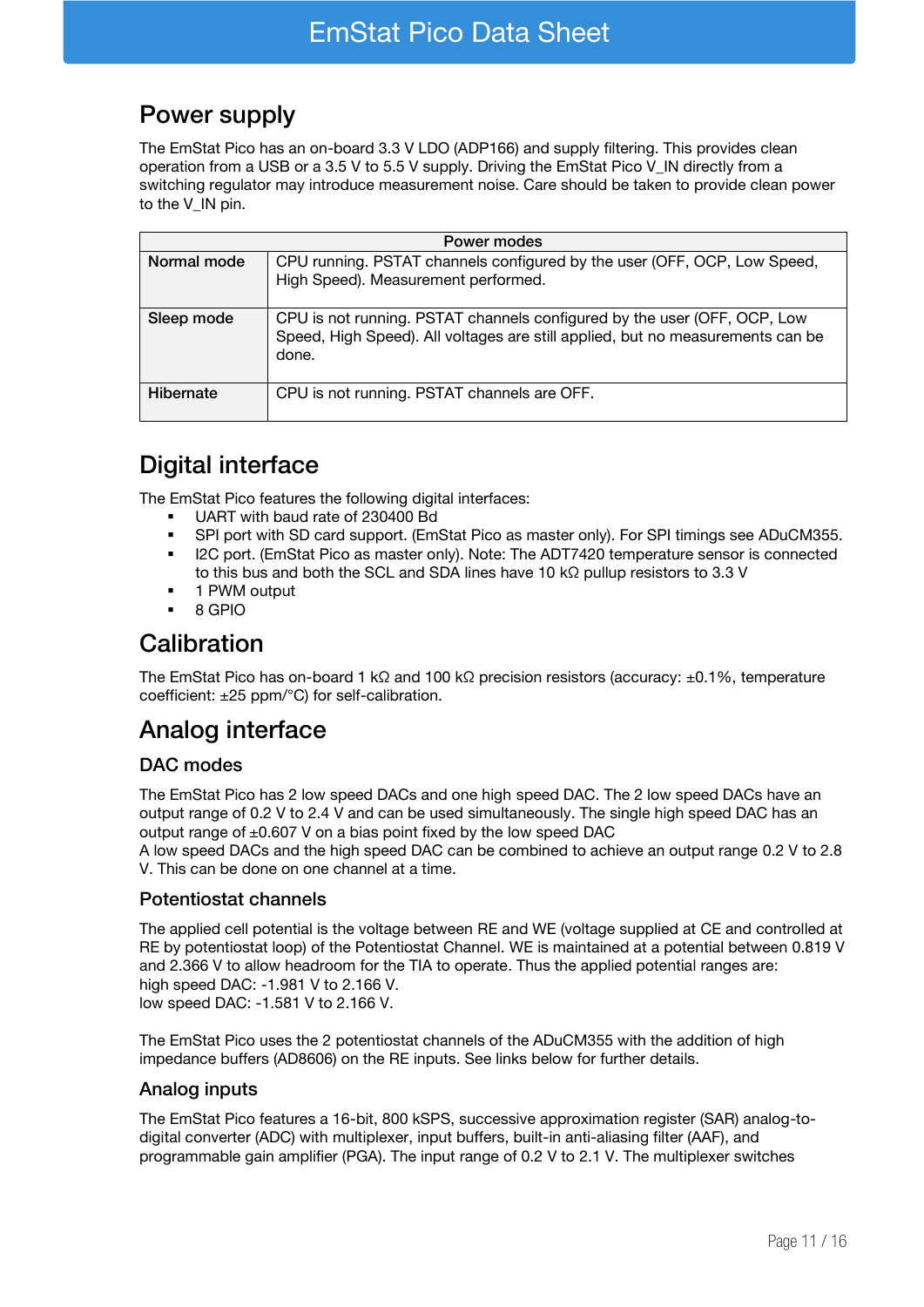# Power supply

The EmStat Pico has an on-board 3.3 V LDO (ADP166) and supply filtering. This provides clean operation from a USB or a 3.5 V to 5.5 V supply. Driving the EmStat Pico V\_IN directly from a switching regulator may introduce measurement noise. Care should be taken to provide clean power to the V\_IN pin.

| Power modes |                                                                                                                                                                     |  |  |  |
|-------------|---------------------------------------------------------------------------------------------------------------------------------------------------------------------|--|--|--|
| Normal mode | CPU running. PSTAT channels configured by the user (OFF, OCP, Low Speed,<br>High Speed). Measurement performed.                                                     |  |  |  |
| Sleep mode  | CPU is not running. PSTAT channels configured by the user (OFF, OCP, Low<br>Speed, High Speed). All voltages are still applied, but no measurements can be<br>done. |  |  |  |
| Hibernate   | CPU is not running. PSTAT channels are OFF.                                                                                                                         |  |  |  |

# Digital interface

The EmStat Pico features the following digital interfaces:

- UART with baud rate of 230400 Bd
- SPI port with SD card support. (EmStat Pico as master only). For SPI timings see ADuCM355.
- 12C port. (EmStat Pico as master only). Note: The ADT7420 temperature sensor is connected to this bus and both the SCL and SDA lines have 10 kΩ pullup resistors to 3.3 V
- 1 PWM output
- 8 GPIO

### **Calibration**

The EmStat Pico has on-board 1 kΩ and 100 kΩ precision resistors (accuracy: ±0.1%, temperature coefficient: ±25 ppm/°C) for self-calibration.

### Analog interface

### DAC modes

The EmStat Pico has 2 low speed DACs and one high speed DAC. The 2 low speed DACs have an output range of 0.2 V to 2.4 V and can be used simultaneously. The single high speed DAC has an output range of  $\pm 0.607$  V on a bias point fixed by the low speed DAC

A low speed DACs and the high speed DAC can be combined to achieve an output range 0.2 V to 2.8 V. This can be done on one channel at a time.

### Potentiostat channels

The applied cell potential is the voltage between RE and WE (voltage supplied at CE and controlled at RE by potentiostat loop) of the Potentiostat Channel. WE is maintained at a potential between 0.819 V and 2.366 V to allow headroom for the TIA to operate. Thus the applied potential ranges are: high speed DAC: -1.981 V to 2.166 V. low speed DAC: -1.581 V to 2.166 V.

The EmStat Pico uses the 2 potentiostat channels of the ADuCM355 with the addition of high impedance buffers (AD8606) on the RE inputs. See links below for further details.

#### Analog inputs

The EmStat Pico features a 16-bit, 800 kSPS, successive approximation register (SAR) analog-todigital converter (ADC) with multiplexer, input buffers, built-in anti-aliasing filter (AAF), and programmable gain amplifier (PGA). The input range of 0.2 V to 2.1 V. The multiplexer switches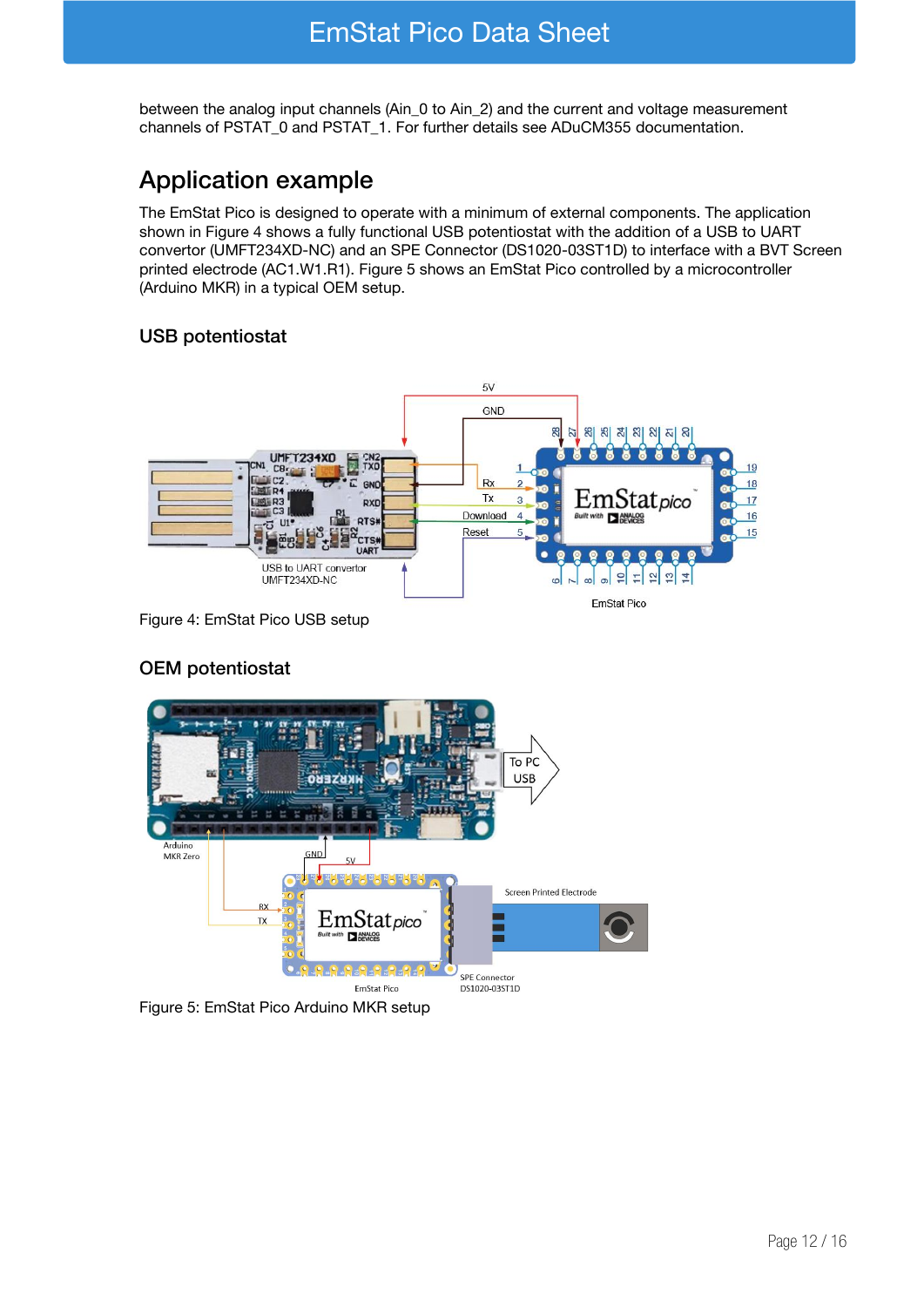between the analog input channels (Ain\_0 to Ain\_2) and the current and voltage measurement channels of PSTAT\_0 and PSTAT\_1. For further details see ADuCM355 documentation.

### Application example

The EmStat Pico is designed to operate with a minimum of external components. The application shown in Figure 4 shows a fully functional USB potentiostat with the addition of a USB to UART convertor (UMFT234XD-NC) and an SPE Connector (DS1020-03ST1D) to interface with a BVT Screen printed electrode (AC1.W1.R1). Figure 5 shows an EmStat Pico controlled by a microcontroller (Arduino MKR) in a typical OEM setup.

### USB potentiostat



Figure 4: EmStat Pico USB setup



### OEM potentiostat

Figure 5: EmStat Pico Arduino MKR setup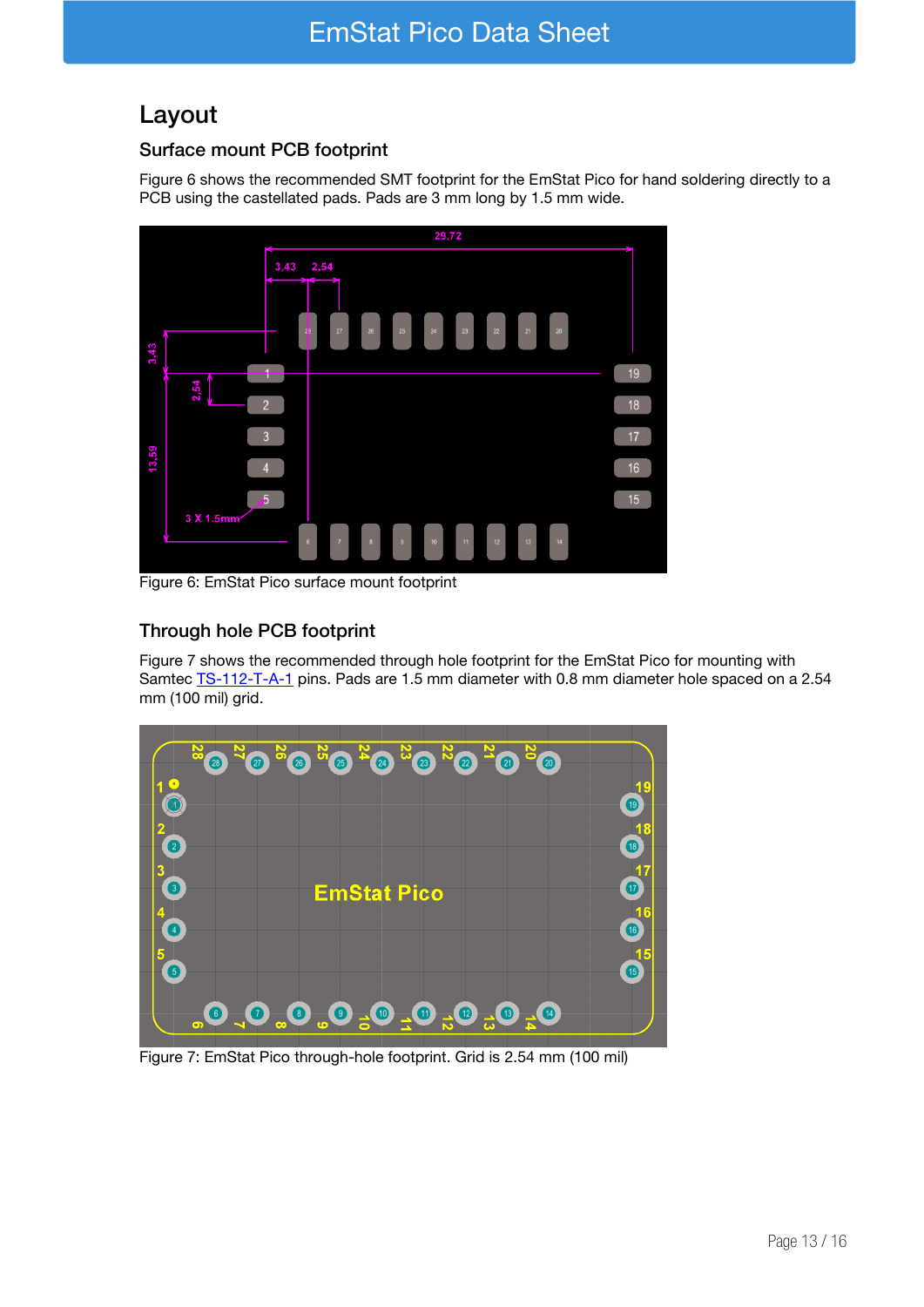### Layout

### Surface mount PCB footprint

Figure 6 shows the recommended SMT footprint for the EmStat Pico for hand soldering directly to a PCB using the castellated pads. Pads are 3 mm long by 1.5 mm wide.



Figure 6: EmStat Pico surface mount footprint

### Through hole PCB footprint

Figure 7 shows the recommended through hole footprint for the EmStat Pico for mounting with Samtec **TS-112-T-A-1** pins. Pads are 1.5 mm diameter with 0.8 mm diameter hole spaced on a 2.54 mm (100 mil) grid.



Figure 7: EmStat Pico through-hole footprint. Grid is 2.54 mm (100 mil)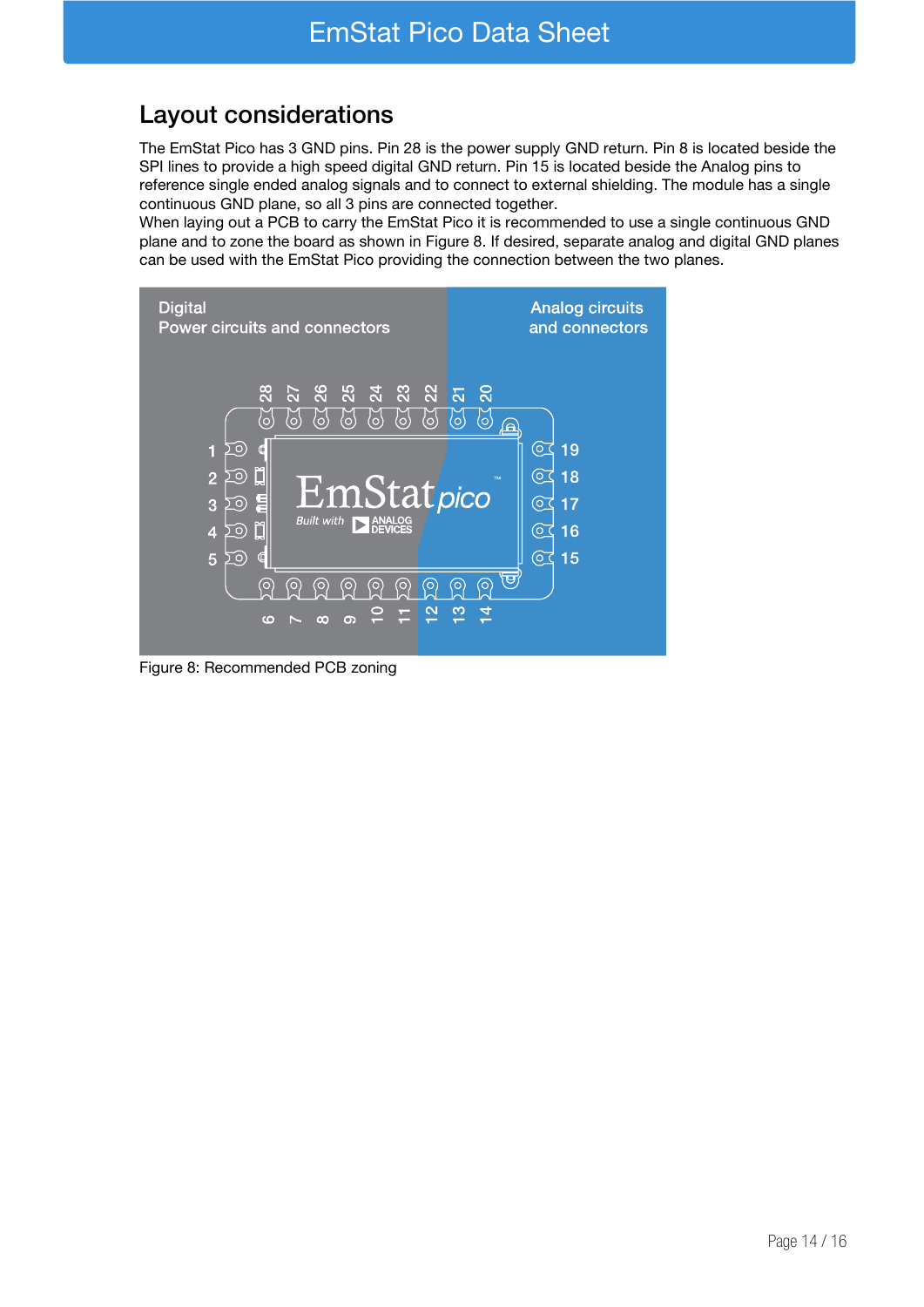### Layout considerations

The EmStat Pico has 3 GND pins. Pin 28 is the power supply GND return. Pin 8 is located beside the SPI lines to provide a high speed digital GND return. Pin 15 is located beside the Analog pins to reference single ended analog signals and to connect to external shielding. The module has a single continuous GND plane, so all 3 pins are connected together.

When laying out a PCB to carry the EmStat Pico it is recommended to use a single continuous GND plane and to zone the board as shown in Figure 8. If desired, separate analog and digital GND planes can be used with the EmStat Pico providing the connection between the two planes.



Figure 8: Recommended PCB zoning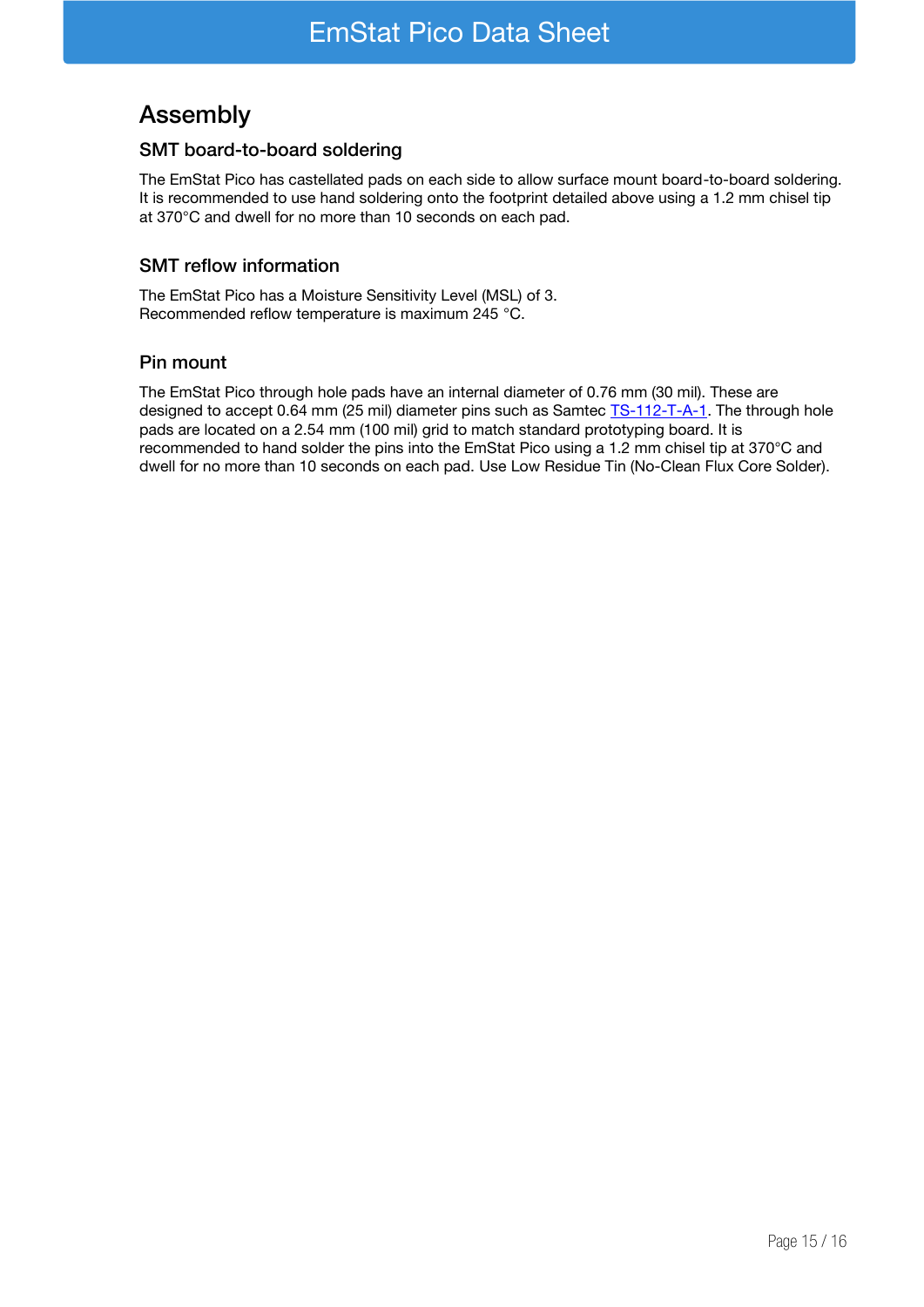### Assembly

### SMT board-to-board soldering

The EmStat Pico has castellated pads on each side to allow surface mount board-to-board soldering. It is recommended to use hand soldering onto the footprint detailed above using a 1.2 mm chisel tip at 370°C and dwell for no more than 10 seconds on each pad.

### SMT reflow information

The EmStat Pico has a Moisture Sensitivity Level (MSL) of 3. Recommended reflow temperature is maximum 245 °C.

#### Pin mount

The EmStat Pico through hole pads have an internal diameter of 0.76 mm (30 mil). These are designed to accept 0.64 mm (25 mil) diameter pins such as Samtec **TS-112-T-A-1**. The through hole pads are located on a 2.54 mm (100 mil) grid to match standard prototyping board. It is recommended to hand solder the pins into the EmStat Pico using a 1.2 mm chisel tip at 370°C and dwell for no more than 10 seconds on each pad. Use Low Residue Tin (No-Clean Flux Core Solder).